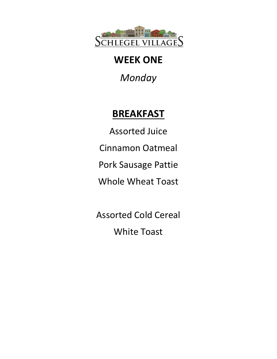

*Monday*

# **BREAKFAST**

Assorted Juice Cinnamon Oatmeal Pork Sausage Pattie Whole Wheat Toast

Assorted Cold Cereal White Toast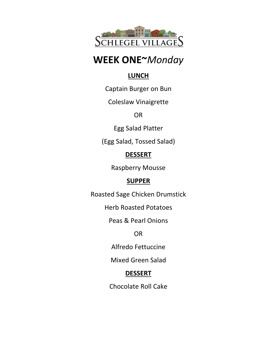

## **WEEK ONE~***Monday*

#### **LUNCH**

Captain Burger on Bun

Coleslaw Vinaigrette

OR

Egg Salad Platter

(Egg Salad, Tossed Salad)

#### **DESSERT**

Raspberry Mousse

### **SUPPER**

Roasted Sage Chicken Drumstick

Herb Roasted Potatoes

Peas & Pearl Onions

OR

Alfredo Fettuccine

Mixed Green Salad

#### **DESSERT**

Chocolate Roll Cake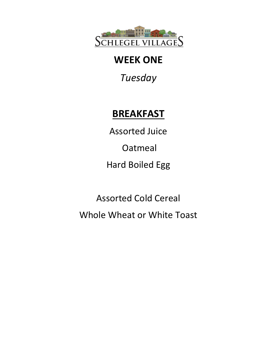

*Tuesday*

# **BREAKFAST**

Assorted Juice

Oatmeal

Hard Boiled Egg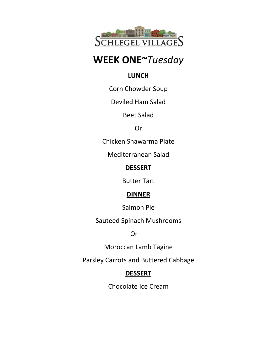

## **WEEK ONE~***Tuesday*

#### **LUNCH**

Corn Chowder Soup

Deviled Ham Salad

Beet Salad

Or

Chicken Shawarma Plate

Mediterranean Salad

#### **DESSERT**

Butter Tart

#### **DINNER**

Salmon Pie

Sauteed Spinach Mushrooms

Or

Moroccan Lamb Tagine

Parsley Carrots and Buttered Cabbage

#### **DESSERT**

Chocolate Ice Cream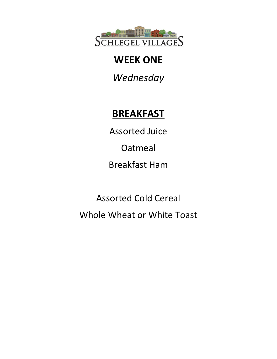

*Wednesday*

# **BREAKFAST**

Assorted Juice

Oatmeal

Breakfast Ham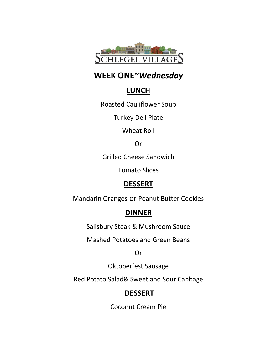

### **WEEK ONE~***Wednesday*

### **LUNCH**

Roasted Cauliflower Soup

Turkey Deli Plate

Wheat Roll

Or

Grilled Cheese Sandwich

Tomato Slices

### **DESSERT**

Mandarin Oranges or Peanut Butter Cookies

### **DINNER**

Salisbury Steak & Mushroom Sauce

Mashed Potatoes and Green Beans

Or

Oktoberfest Sausage

Red Potato Salad& Sweet and Sour Cabbage

### **DESSERT**

Coconut Cream Pie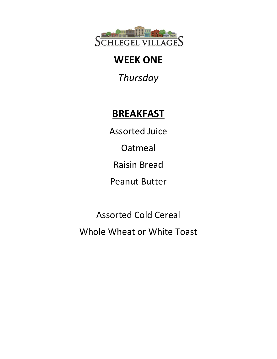

*Thursday*

# **BREAKFAST**

Assorted Juice

Oatmeal

Raisin Bread

Peanut Butter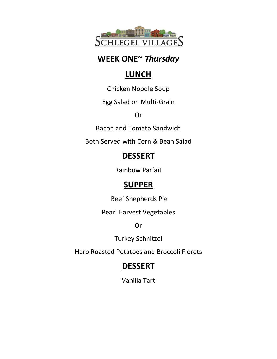

### **WEEK ONE~** *Thursday*

## **LUNCH**

Chicken Noodle Soup

Egg Salad on Multi-Grain

Or

Bacon and Tomato Sandwich

Both Served with Corn & Bean Salad

## **DESSERT**

Rainbow Parfait

## **SUPPER**

Beef Shepherds Pie

Pearl Harvest Vegetables

Or

Turkey Schnitzel

Herb Roasted Potatoes and Broccoli Florets

## **DESSERT**

Vanilla Tart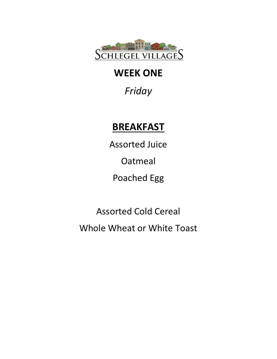

*Friday*

# **BREAKFAST**

Assorted Juice Oatmeal Poached Egg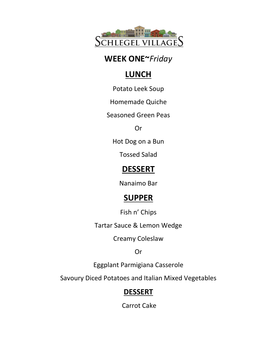

### **WEEK ONE~***Friday*

## **LUNCH**

Potato Leek Soup

Homemade Quiche

Seasoned Green Peas

Or

Hot Dog on a Bun

Tossed Salad

## **DESSERT**

Nanaimo Bar

## **SUPPER**

Fish n' Chips

Tartar Sauce & Lemon Wedge

Creamy Coleslaw

Or

Eggplant Parmigiana Casserole

Savoury Diced Potatoes and Italian Mixed Vegetables

### **DESSERT**

Carrot Cake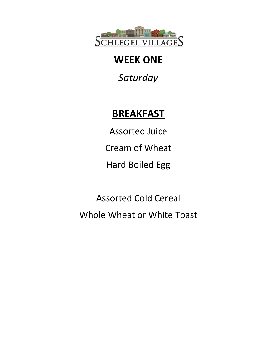

*Saturday*

# **BREAKFAST**

Assorted Juice Cream of Wheat Hard Boiled Egg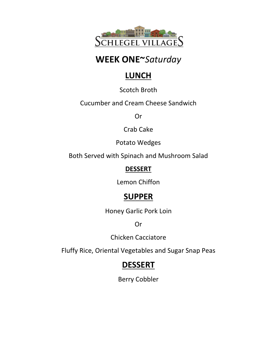

## **WEEK ONE~***Saturday*

## **LUNCH**

Scotch Broth

Cucumber and Cream Cheese Sandwich

Or

Crab Cake

Potato Wedges

Both Served with Spinach and Mushroom Salad

#### **DESSERT**

Lemon Chiffon

## **SUPPER**

Honey Garlic Pork Loin

Or

Chicken Cacciatore

Fluffy Rice, Oriental Vegetables and Sugar Snap Peas

## **DESSERT**

Berry Cobbler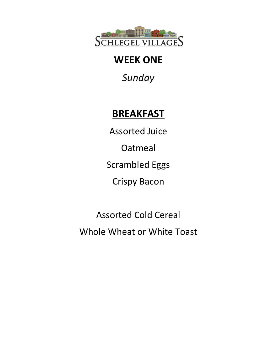

*Sunday*

# **BREAKFAST**

Assorted Juice Oatmeal Scrambled Eggs Crispy Bacon